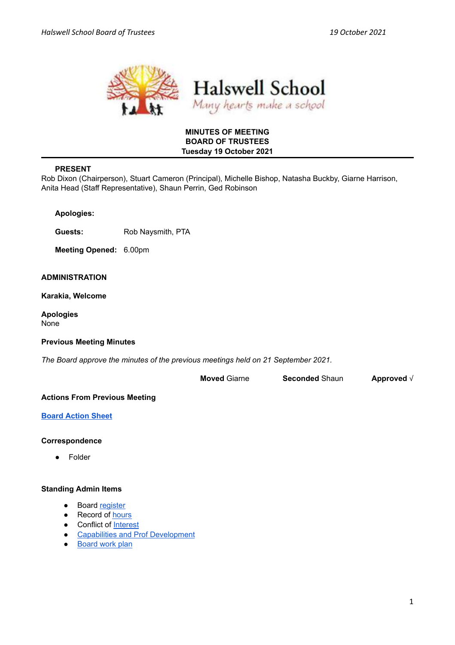



## **MINUTES OF MEETING BOARD OF TRUSTEES Tuesday 19 October 2021**

## **PRESENT**

Rob Dixon (Chairperson), Stuart Cameron (Principal), Michelle Bishop, Natasha Buckby, Giarne Harrison, Anita Head (Staff Representative), Shaun Perrin, Ged Robinson

|  | <b>Apologies:</b> |
|--|-------------------|

**Guests:** Rob Naysmith, PTA

**Meeting Opened:** 6.00pm

## **ADMINISTRATION**

**Karakia, Welcome**

**Apologies** None

## **Previous Meeting Minutes**

*The Board approve the minutes of the previous meetings held on 21 September 2021.*

| <b>Moved Giarne</b> | <b>Seconded Shaun</b> | Approved $\sqrt{}$ |
|---------------------|-----------------------|--------------------|
|---------------------|-----------------------|--------------------|

## **Actions From Previous Meeting**

## **Board [Action](https://docs.google.com/spreadsheets/d/1Cdh1IwU0jhSABf09hk0vJW17DqA45Mavg77zsLkiFo0/edit?usp=sharing&urp=gmail_link) Sheet**

## **Correspondence**

● Folder

## **Standing Admin Items**

- Board [register](https://drive.google.com/open?id=1LgYeP3fbHNJrrdwtKhmni7bUn5KZf6AdawXvp-8GM5I)
- Record of [hours](https://docs.google.com/spreadsheets/d/1ooqHmfuVcjAxJj74l2cyNrLx6E1GWjN2CMAD-VWrSTk/edit#gid=1585903216)
- Conflict of [Interest](https://drive.google.com/open?id=1LpqgUK6iwhrXOSzvrxmLTcgpA-wsuZg7DU-aIw9nGAw)
- Capabilities and Prof [Development](https://drive.google.com/open?id=1Vq0YrIsDwmndZRHvvGvFtK1YOlEWlifxCfIAxHaVDlo)
- [Board](https://docs.google.com/document/d/16WAgjXfZuFQ9Un3Lb7bJ9NQj9tU1J26Koes3jzuU9jQ/edit) work plan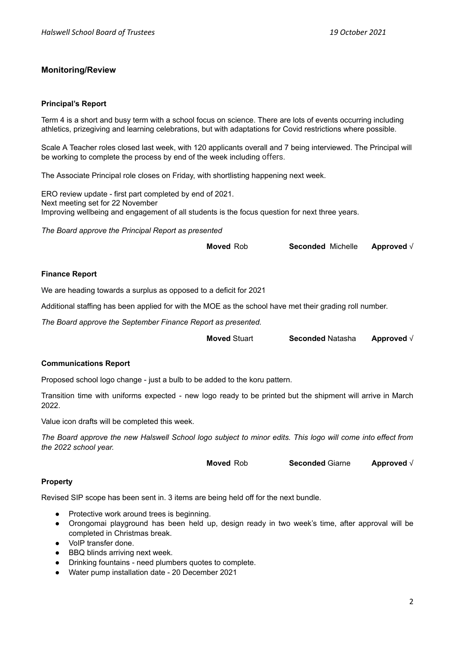## **Monitoring/Review**

### **Principal's Report**

Term 4 is a short and busy term with a school focus on science. There are lots of events occurring including athletics, prizegiving and learning celebrations, but with adaptations for Covid restrictions where possible.

Scale A Teacher roles closed last week, with 120 applicants overall and 7 being interviewed. The Principal will be working to complete the process by end of the week including offers.

The Associate Principal role closes on Friday, with shortlisting happening next week.

ERO review update - first part completed by end of 2021. Next meeting set for 22 November Improving wellbeing and engagement of all students is the focus question for next three years.

*The Board approve the Principal Report as presented*

| Approved $\sqrt{}$<br><b>Seconded Michelle</b><br><b>Moved Rob</b> |
|--------------------------------------------------------------------|
|--------------------------------------------------------------------|

### **Finance Report**

We are heading towards a surplus as opposed to a deficit for 2021

Additional staffing has been applied for with the MOE as the school have met their grading roll number.

*The Board approve the September Finance Report as presented.*

**Moved** Stuart **Seconded** Natasha **Approved** √

#### **Communications Report**

Proposed school logo change - just a bulb to be added to the koru pattern.

Transition time with uniforms expected - new logo ready to be printed but the shipment will arrive in March 2022.

Value icon drafts will be completed this week.

The Board approve the new Halswell School logo subject to minor edits. This logo will come into effect from *the 2022 school year.*

**Moved** Rob **Seconded** Giarne **Approved** √

## **Property**

Revised SIP scope has been sent in. 3 items are being held off for the next bundle.

- Protective work around trees is beginning.
- Orongomai playground has been held up, design ready in two week's time, after approval will be completed in Christmas break.
- VoIP transfer done.
- BBQ blinds arriving next week.
- Drinking fountains need plumbers quotes to complete.
- Water pump installation date 20 December 2021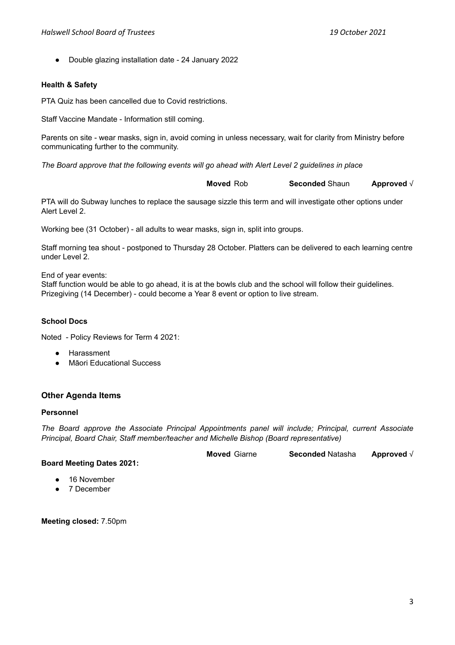● Double glazing installation date - 24 January 2022

## **Health & Safety**

PTA Quiz has been cancelled due to Covid restrictions.

Staff Vaccine Mandate - Information still coming.

Parents on site - wear masks, sign in, avoid coming in unless necessary, wait for clarity from Ministry before communicating further to the community.

*The Board approve that the following events will go ahead with Alert Level 2 guidelines in place*

**Moved** Rob **Seconded** Shaun **Approved** √

PTA will do Subway lunches to replace the sausage sizzle this term and will investigate other options under Alert Level 2.

Working bee (31 October) - all adults to wear masks, sign in, split into groups.

Staff morning tea shout - postponed to Thursday 28 October. Platters can be delivered to each learning centre under Level 2.

End of year events:

Staff function would be able to go ahead, it is at the bowls club and the school will follow their guidelines. Prizegiving (14 December) - could become a Year 8 event or option to live stream.

## **School Docs**

Noted - Policy Reviews for Term 4 2021:

- **Harassment**
- Māori Educational Success

## **Other Agenda Items**

## **Personnel**

*The Board approve the Associate Principal Appointments panel will include; Principal, current Associate Principal, Board Chair, Staff member/teacher and Michelle Bishop (Board representative)*

**Moved** Giarne **Seconded** Natasha **Approved** √ **Board Meeting Dates 2021:**

- - 16 November ● 7 December
	-

**Meeting closed:** 7.50pm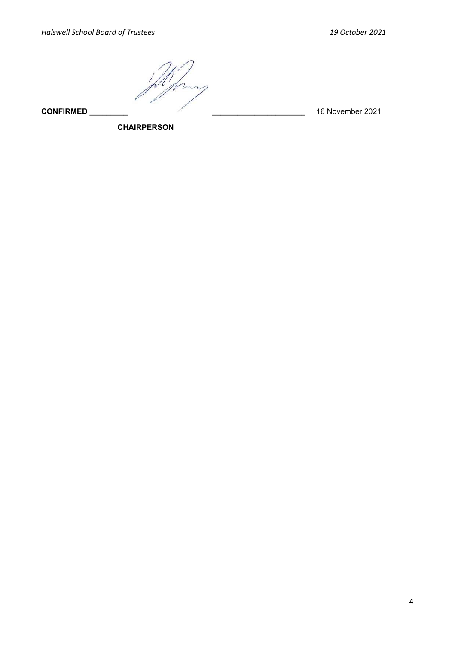**CONFIRMED \_\_\_\_\_\_\_\_\_ \_\_\_\_\_\_\_\_\_\_\_\_\_\_\_\_\_\_\_\_\_\_** 16 November 2021

**CHAIRPERSON**